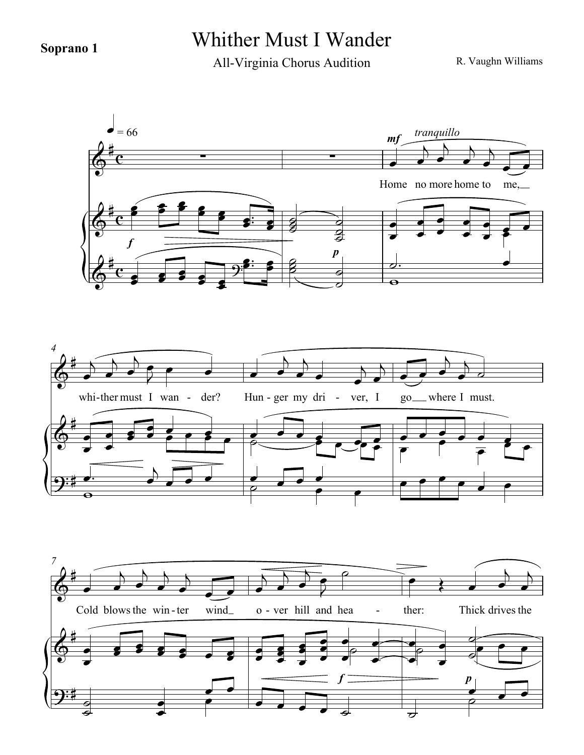## **Soprano 1** Whither Must I Wander

All-Virginia Chorus Audition

R. Vaughn Williams